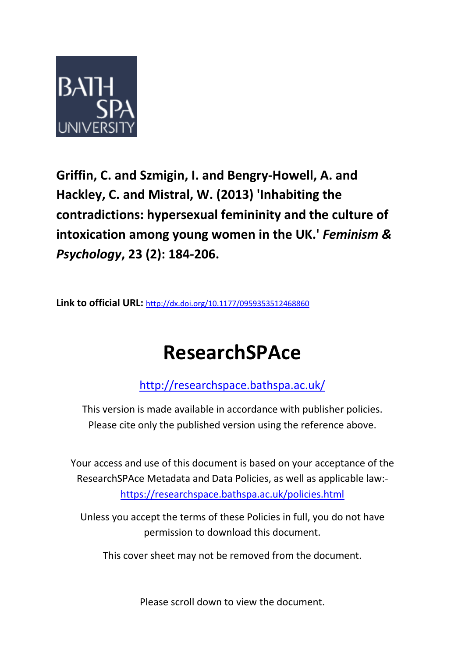

**Griffin, C. and Szmigin, I. and Bengry-Howell, A. and Hackley, C. and Mistral, W. (2013) 'Inhabiting the contradictions: hypersexual femininity and the culture of intoxication among young women in the UK.'** *Feminism & Psychology***, 23 (2): 184-206.**

**Link to official URL:** <http://dx.doi.org/10.1177/0959353512468860>

# **ResearchSPAce**

<http://researchspace.bathspa.ac.uk/>

This version is made available in accordance with publisher policies. Please cite only the published version using the reference above.

Your access and use of this document is based on your acceptance of the ResearchSPAce Metadata and Data Policies, as well as applicable law: https://researchspace.bathspa.ac.uk/policies.html

Unless you accept the terms of these Policies in full, you do not have permission to download this document.

This cover sheet may not be removed from the document.

Please scroll down to view the document.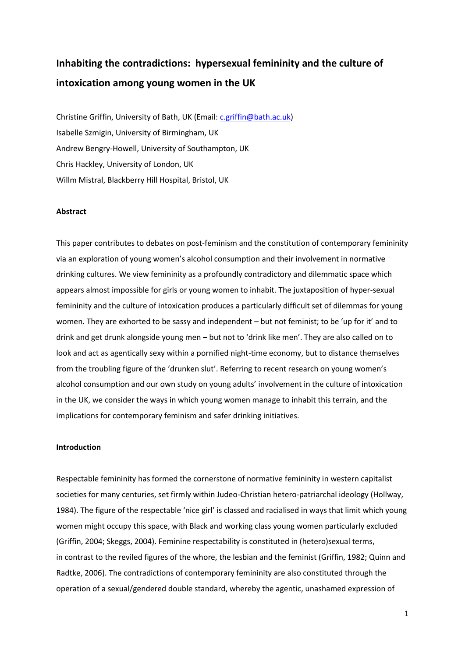## **Inhabiting the contradictions: hypersexual femininity and the culture of intoxication among young women in the UK**

Christine Griffin, University of Bath, UK (Email[: c.griffin@bath.ac.uk\)](mailto:c.griffin@bath.ac.uk) Isabelle Szmigin, University of Birmingham, UK Andrew Bengry-Howell, University of Southampton, UK Chris Hackley, University of London, UK Willm Mistral, Blackberry Hill Hospital, Bristol, UK

#### **Abstract**

This paper contributes to debates on post-feminism and the constitution of contemporary femininity via an exploration of young women's alcohol consumption and their involvement in normative drinking cultures. We view femininity as a profoundly contradictory and dilemmatic space which appears almost impossible for girls or young women to inhabit. The juxtaposition of hyper-sexual femininity and the culture of intoxication produces a particularly difficult set of dilemmas for young women. They are exhorted to be sassy and independent – but not feminist; to be 'up for it' and to drink and get drunk alongside young men – but not to 'drink like men'. They are also called on to look and act as agentically sexy within a pornified night-time economy, but to distance themselves from the troubling figure of the 'drunken slut'. Referring to recent research on young women's alcohol consumption and our own study on young adults' involvement in the culture of intoxication in the UK, we consider the ways in which young women manage to inhabit this terrain, and the implications for contemporary feminism and safer drinking initiatives.

#### **Introduction**

Respectable femininity has formed the cornerstone of normative femininity in western capitalist societies for many centuries, set firmly within Judeo-Christian hetero-patriarchal ideology (Hollway, 1984). The figure of the respectable 'nice girl' is classed and racialised in ways that limit which young women might occupy this space, with Black and working class young women particularly excluded (Griffin, 2004; Skeggs, 2004). Feminine respectability is constituted in (hetero)sexual terms, in contrast to the reviled figures of the whore, the lesbian and the feminist (Griffin, 1982; Quinn and Radtke, 2006). The contradictions of contemporary femininity are also constituted through the operation of a sexual/gendered double standard, whereby the agentic, unashamed expression of

1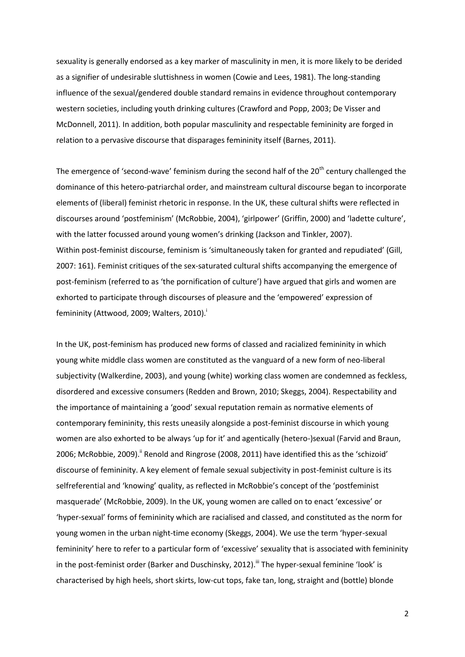sexuality is generally endorsed as a key marker of masculinity in men, it is more likely to be derided as a signifier of undesirable sluttishness in women (Cowie and Lees, 1981). The long-standing influence of the sexual/gendered double standard remains in evidence throughout contemporary western societies, including youth drinking cultures (Crawford and Popp, 2003; De Visser and McDonnell, 2011). In addition, both popular masculinity and respectable femininity are forged in relation to a pervasive discourse that disparages femininity itself (Barnes, 2011).

The emergence of 'second-wave' feminism during the second half of the  $20<sup>th</sup>$  century challenged the dominance of this hetero-patriarchal order, and mainstream cultural discourse began to incorporate elements of (liberal) feminist rhetoric in response. In the UK, these cultural shifts were reflected in discourses around 'postfeminism' (McRobbie, 2004), 'girlpower' (Griffin, 2000) and 'ladette culture', with the latter focussed around young women's drinking (Jackson and Tinkler, 2007). Within post-feminist discourse, feminism is 'simultaneously taken for granted and repudiated' (Gill, 2007: 161). Feminist critiques of the sex-saturated cultural shifts accompanying the emergence of post-feminism (referred to as 'the pornification of culture') have argued that girls and women are exhorted to participate through discourses of pleasure and the 'empowered' expression of femininity (Attwood, 2009; Walters, 2010).

In the UK, post-feminism has produced new forms of classed and racialized femininity in which young white middle class women are constituted as the vanguard of a new form of neo-liberal subjectivity (Walkerdine, 2003), and young (white) working class women are condemned as feckless, disordered and excessive consumers (Redden and Brown, 2010; Skeggs, 2004). Respectability and the importance of maintaining a 'good' sexual reputation remain as normative elements of contemporary femininity, this rests uneasily alongside a post-feminist discourse in which young women are also exhorted to be always 'up for it' and agentically (hetero-)sexual (Farvid and Braun, 2006; McRobbie, 2009).<sup>ii</sup> Renold and Ringrose (2008, 2011) have identified this as the 'schizoid' discourse of femininity. A key element of female sexual subjectivity in post-feminist culture is its selfreferential and 'knowing' quality, as reflected in McRobbie's concept of the 'postfeminist masquerade' (McRobbie, 2009). In the UK, young women are called on to enact 'excessive' or 'hyper-sexual' forms of femininity which are racialised and classed, and constituted as the norm for young women in the urban night-time economy (Skeggs, 2004). We use the term 'hyper-sexual femininity' here to refer to a particular form of 'excessive' sexuality that is associated with femininity in the post-feminist order (Barker and Duschinsky, 2012).<sup>iii</sup> The hyper-sexual feminine 'look' is characterised by high heels, short skirts, low-cut tops, fake tan, long, straight and (bottle) blonde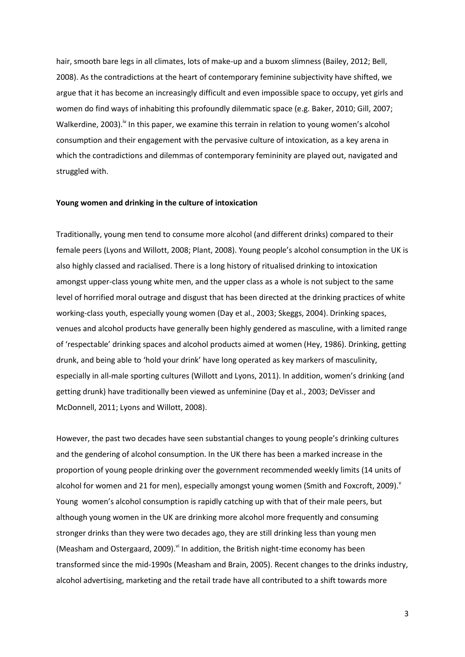hair, smooth bare legs in all climates, lots of make-up and a buxom slimness (Bailey, 2012; Bell, 2008). As the contradictions at the heart of contemporary feminine subjectivity have shifted, we argue that it has become an increasingly difficult and even impossible space to occupy, yet girls and women do find ways of inhabiting this profoundly dilemmatic space (e.g. Baker, 2010; Gill, 2007; Walkerdine, 2003).<sup>iv</sup> In this paper, we examine this terrain in relation to young women's alcohol consumption and their engagement with the pervasive culture of intoxication, as a key arena in which the contradictions and dilemmas of contemporary femininity are played out, navigated and struggled with.

#### **Young women and drinking in the culture of intoxication**

Traditionally, young men tend to consume more alcohol (and different drinks) compared to their female peers (Lyons and Willott, 2008; Plant, 2008). Young people's alcohol consumption in the UK is also highly classed and racialised. There is a long history of ritualised drinking to intoxication amongst upper-class young white men, and the upper class as a whole is not subject to the same level of horrified moral outrage and disgust that has been directed at the drinking practices of white working-class youth, especially young women (Day et al., 2003; Skeggs, 2004). Drinking spaces, venues and alcohol products have generally been highly gendered as masculine, with a limited range of 'respectable' drinking spaces and alcohol products aimed at women (Hey, 1986). Drinking, getting drunk, and being able to 'hold your drink' have long operated as key markers of masculinity, especially in all-male sporting cultures (Willott and Lyons, 2011). In addition, women's drinking (and getting drunk) have traditionally been viewed as unfeminine (Day et al., 2003; DeVisser and McDonnell, 2011; Lyons and Willott, 2008).

However, the past two decades have seen substantial changes to young people's drinking cultures and the gendering of alcohol consumption. In the UK there has been a marked increase in the proportion of young people drinking over the government recommended weekly limits (14 units of alcohol for women and 21 for men), especially amongst young women (Smith and Foxcroft, 2009). Young women's alcohol consumption is rapidly catching up with that of their male peers, but although young women in the UK are drinking more alcohol more frequently and consuming stronger drinks than they were two decades ago, they are still drinking less than young men (Measham and Ostergaard, 2009). $\mathrm{v}$  In addition, the British night-time economy has been transformed since the mid-1990s (Measham and Brain, 2005). Recent changes to the drinks industry, alcohol advertising, marketing and the retail trade have all contributed to a shift towards more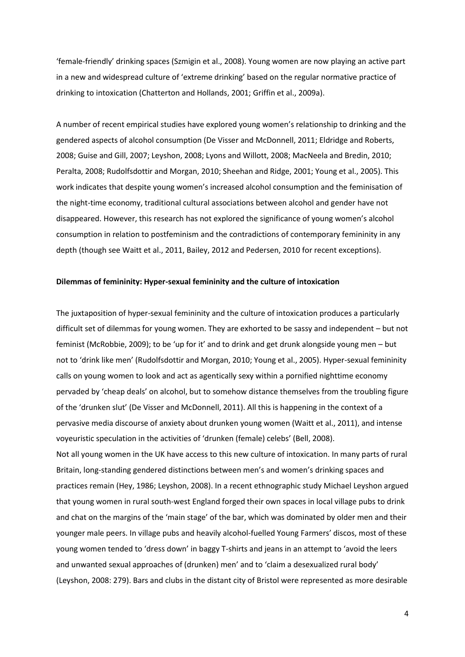'female-friendly' drinking spaces (Szmigin et al., 2008). Young women are now playing an active part in a new and widespread culture of 'extreme drinking' based on the regular normative practice of drinking to intoxication (Chatterton and Hollands, 2001; Griffin et al., 2009a).

A number of recent empirical studies have explored young women's relationship to drinking and the gendered aspects of alcohol consumption (De Visser and McDonnell, 2011; Eldridge and Roberts, 2008; Guise and Gill, 2007; Leyshon, 2008; Lyons and Willott, 2008; MacNeela and Bredin, 2010; Peralta, 2008; Rudolfsdottir and Morgan, 2010; Sheehan and Ridge, 2001; Young et al., 2005). This work indicates that despite young women's increased alcohol consumption and the feminisation of the night-time economy, traditional cultural associations between alcohol and gender have not disappeared. However, this research has not explored the significance of young women's alcohol consumption in relation to postfeminism and the contradictions of contemporary femininity in any depth (though see Waitt et al., 2011, Bailey, 2012 and Pedersen, 2010 for recent exceptions).

#### **Dilemmas of femininity: Hyper-sexual femininity and the culture of intoxication**

The juxtaposition of hyper-sexual femininity and the culture of intoxication produces a particularly difficult set of dilemmas for young women. They are exhorted to be sassy and independent – but not feminist (McRobbie, 2009); to be 'up for it' and to drink and get drunk alongside young men – but not to 'drink like men' (Rudolfsdottir and Morgan, 2010; Young et al., 2005). Hyper-sexual femininity calls on young women to look and act as agentically sexy within a pornified nighttime economy pervaded by 'cheap deals' on alcohol, but to somehow distance themselves from the troubling figure of the 'drunken slut' (De Visser and McDonnell, 2011). All this is happening in the context of a pervasive media discourse of anxiety about drunken young women (Waitt et al., 2011), and intense voyeuristic speculation in the activities of 'drunken (female) celebs' (Bell, 2008). Not all young women in the UK have access to this new culture of intoxication. In many parts of rural Britain, long-standing gendered distinctions between men's and women's drinking spaces and practices remain (Hey, 1986; Leyshon, 2008). In a recent ethnographic study Michael Leyshon argued that young women in rural south-west England forged their own spaces in local village pubs to drink and chat on the margins of the 'main stage' of the bar, which was dominated by older men and their younger male peers. In village pubs and heavily alcohol-fuelled Young Farmers' discos, most of these young women tended to 'dress down' in baggy T-shirts and jeans in an attempt to 'avoid the leers and unwanted sexual approaches of (drunken) men' and to 'claim a desexualized rural body' (Leyshon, 2008: 279). Bars and clubs in the distant city of Bristol were represented as more desirable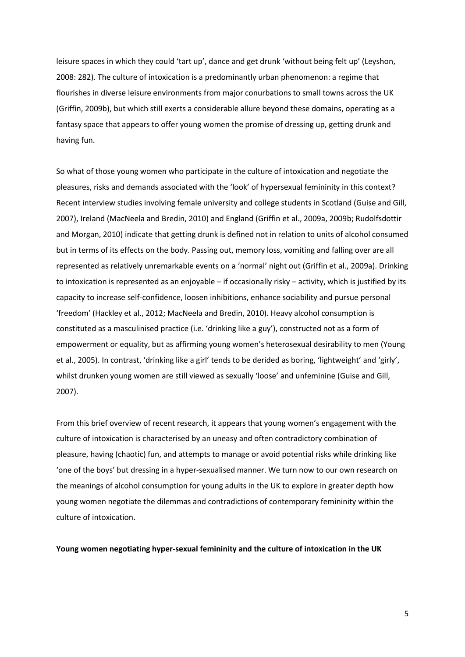leisure spaces in which they could 'tart up', dance and get drunk 'without being felt up' (Leyshon, 2008: 282). The culture of intoxication is a predominantly urban phenomenon: a regime that flourishes in diverse leisure environments from major conurbations to small towns across the UK (Griffin, 2009b), but which still exerts a considerable allure beyond these domains, operating as a fantasy space that appears to offer young women the promise of dressing up, getting drunk and having fun.

So what of those young women who participate in the culture of intoxication and negotiate the pleasures, risks and demands associated with the 'look' of hypersexual femininity in this context? Recent interview studies involving female university and college students in Scotland (Guise and Gill, 2007), Ireland (MacNeela and Bredin, 2010) and England (Griffin et al., 2009a, 2009b; Rudolfsdottir and Morgan, 2010) indicate that getting drunk is defined not in relation to units of alcohol consumed but in terms of its effects on the body. Passing out, memory loss, vomiting and falling over are all represented as relatively unremarkable events on a 'normal' night out (Griffin et al., 2009a). Drinking to intoxication is represented as an enjoyable – if occasionally risky – activity, which is justified by its capacity to increase self-confidence, loosen inhibitions, enhance sociability and pursue personal 'freedom' (Hackley et al., 2012; MacNeela and Bredin, 2010). Heavy alcohol consumption is constituted as a masculinised practice (i.e. 'drinking like a guy'), constructed not as a form of empowerment or equality, but as affirming young women's heterosexual desirability to men (Young et al., 2005). In contrast, 'drinking like a girl' tends to be derided as boring, 'lightweight' and 'girly', whilst drunken young women are still viewed as sexually 'loose' and unfeminine (Guise and Gill, 2007).

From this brief overview of recent research, it appears that young women's engagement with the culture of intoxication is characterised by an uneasy and often contradictory combination of pleasure, having (chaotic) fun, and attempts to manage or avoid potential risks while drinking like 'one of the boys' but dressing in a hyper-sexualised manner. We turn now to our own research on the meanings of alcohol consumption for young adults in the UK to explore in greater depth how young women negotiate the dilemmas and contradictions of contemporary femininity within the culture of intoxication.

**Young women negotiating hyper-sexual femininity and the culture of intoxication in the UK**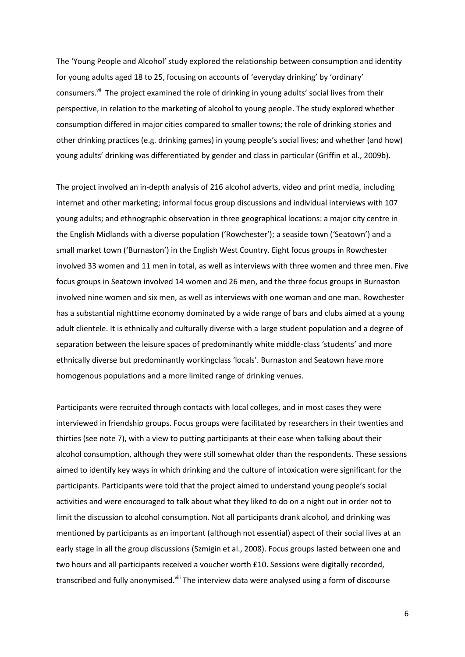The 'Young People and Alcohol' study explored the relationship between consumption and identity for young adults aged 18 to 25, focusing on accounts of 'everyday drinking' by 'ordinary' consumers.<sup>vii</sup> The project examined the role of drinking in young adults' social lives from their perspective, in relation to the marketing of alcohol to young people. The study explored whether consumption differed in major cities compared to smaller towns; the role of drinking stories and other drinking practices (e.g. drinking games) in young people's social lives; and whether (and how) young adults' drinking was differentiated by gender and class in particular (Griffin et al., 2009b).

The project involved an in-depth analysis of 216 alcohol adverts, video and print media, including internet and other marketing; informal focus group discussions and individual interviews with 107 young adults; and ethnographic observation in three geographical locations: a major city centre in the English Midlands with a diverse population ('Rowchester'); a seaside town ('Seatown') and a small market town ('Burnaston') in the English West Country. Eight focus groups in Rowchester involved 33 women and 11 men in total, as well as interviews with three women and three men. Five focus groups in Seatown involved 14 women and 26 men, and the three focus groups in Burnaston involved nine women and six men, as well as interviews with one woman and one man. Rowchester has a substantial nighttime economy dominated by a wide range of bars and clubs aimed at a young adult clientele. It is ethnically and culturally diverse with a large student population and a degree of separation between the leisure spaces of predominantly white middle-class 'students' and more ethnically diverse but predominantly workingclass 'locals'. Burnaston and Seatown have more homogenous populations and a more limited range of drinking venues.

Participants were recruited through contacts with local colleges, and in most cases they were interviewed in friendship groups. Focus groups were facilitated by researchers in their twenties and thirties (see note 7), with a view to putting participants at their ease when talking about their alcohol consumption, although they were still somewhat older than the respondents. These sessions aimed to identify key ways in which drinking and the culture of intoxication were significant for the participants. Participants were told that the project aimed to understand young people's social activities and were encouraged to talk about what they liked to do on a night out in order not to limit the discussion to alcohol consumption. Not all participants drank alcohol, and drinking was mentioned by participants as an important (although not essential) aspect of their social lives at an early stage in all the group discussions (Szmigin et al., 2008). Focus groups lasted between one and two hours and all participants received a voucher worth £10. Sessions were digitally recorded, transcribed and fully anonymised.<sup>viii</sup> The interview data were analysed using a form of discourse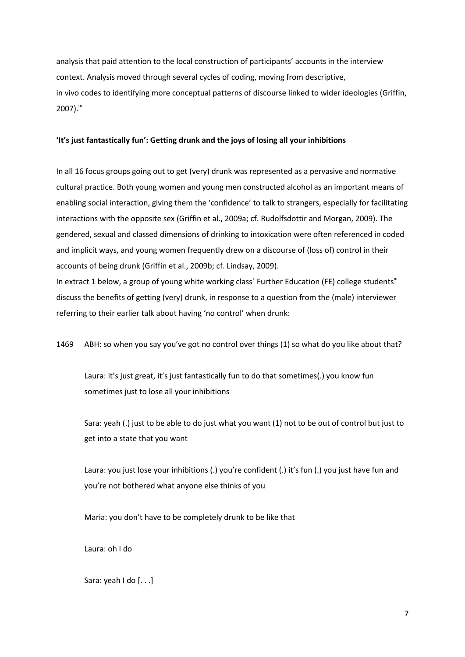analysis that paid attention to the local construction of participants' accounts in the interview context. Analysis moved through several cycles of coding, moving from descriptive, in vivo codes to identifying more conceptual patterns of discourse linked to wider ideologies (Griffin, 2007).ix

### **'It's just fantastically fun': Getting drunk and the joys of losing all your inhibitions**

In all 16 focus groups going out to get (very) drunk was represented as a pervasive and normative cultural practice. Both young women and young men constructed alcohol as an important means of enabling social interaction, giving them the 'confidence' to talk to strangers, especially for facilitating interactions with the opposite sex (Griffin et al., 2009a; cf. Rudolfsdottir and Morgan, 2009). The gendered, sexual and classed dimensions of drinking to intoxication were often referenced in coded and implicit ways, and young women frequently drew on a discourse of (loss of) control in their accounts of being drunk (Griffin et al., 2009b; cf. Lindsay, 2009).

In extract 1 below, a group of young white working class<sup>x</sup> Further Education (FE) college students<sup>xi</sup> discuss the benefits of getting (very) drunk, in response to a question from the (male) interviewer referring to their earlier talk about having 'no control' when drunk:

1469 ABH: so when you say you've got no control over things (1) so what do you like about that?

Laura: it's just great, it's just fantastically fun to do that sometimes(.) you know fun sometimes just to lose all your inhibitions

Sara: yeah (.) just to be able to do just what you want (1) not to be out of control but just to get into a state that you want

Laura: you just lose your inhibitions (.) you're confident (.) it's fun (.) you just have fun and you're not bothered what anyone else thinks of you

Maria: you don't have to be completely drunk to be like that

Laura: oh I do

Sara: yeah I do [. . .]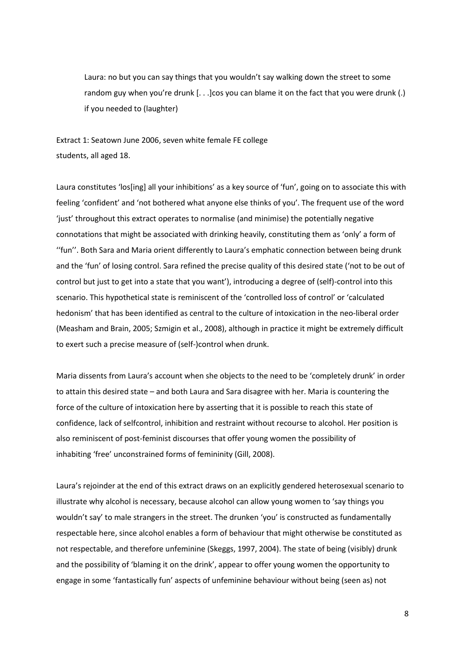Laura: no but you can say things that you wouldn't say walking down the street to some random guy when you're drunk [...] cos you can blame it on the fact that you were drunk (.) if you needed to (laughter)

Extract 1: Seatown June 2006, seven white female FE college students, all aged 18.

Laura constitutes 'los[ing] all your inhibitions' as a key source of 'fun', going on to associate this with feeling 'confident' and 'not bothered what anyone else thinks of you'. The frequent use of the word 'just' throughout this extract operates to normalise (and minimise) the potentially negative connotations that might be associated with drinking heavily, constituting them as 'only' a form of ''fun''. Both Sara and Maria orient differently to Laura's emphatic connection between being drunk and the 'fun' of losing control. Sara refined the precise quality of this desired state ('not to be out of control but just to get into a state that you want'), introducing a degree of (self)-control into this scenario. This hypothetical state is reminiscent of the 'controlled loss of control' or 'calculated hedonism' that has been identified as central to the culture of intoxication in the neo-liberal order (Measham and Brain, 2005; Szmigin et al., 2008), although in practice it might be extremely difficult to exert such a precise measure of (self-)control when drunk.

Maria dissents from Laura's account when she objects to the need to be 'completely drunk' in order to attain this desired state – and both Laura and Sara disagree with her. Maria is countering the force of the culture of intoxication here by asserting that it is possible to reach this state of confidence, lack of selfcontrol, inhibition and restraint without recourse to alcohol. Her position is also reminiscent of post-feminist discourses that offer young women the possibility of inhabiting 'free' unconstrained forms of femininity (Gill, 2008).

Laura's rejoinder at the end of this extract draws on an explicitly gendered heterosexual scenario to illustrate why alcohol is necessary, because alcohol can allow young women to 'say things you wouldn't say' to male strangers in the street. The drunken 'you' is constructed as fundamentally respectable here, since alcohol enables a form of behaviour that might otherwise be constituted as not respectable, and therefore unfeminine (Skeggs, 1997, 2004). The state of being (visibly) drunk and the possibility of 'blaming it on the drink', appear to offer young women the opportunity to engage in some 'fantastically fun' aspects of unfeminine behaviour without being (seen as) not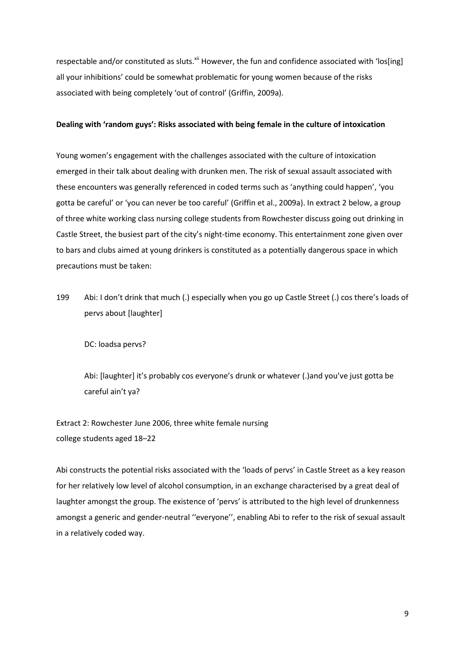respectable and/or constituted as sluts.<sup>xii</sup> However, the fun and confidence associated with 'los[ing] all your inhibitions' could be somewhat problematic for young women because of the risks associated with being completely 'out of control' (Griffin, 2009a).

#### **Dealing with 'random guys': Risks associated with being female in the culture of intoxication**

Young women's engagement with the challenges associated with the culture of intoxication emerged in their talk about dealing with drunken men. The risk of sexual assault associated with these encounters was generally referenced in coded terms such as 'anything could happen', 'you gotta be careful' or 'you can never be too careful' (Griffin et al., 2009a). In extract 2 below, a group of three white working class nursing college students from Rowchester discuss going out drinking in Castle Street, the busiest part of the city's night-time economy. This entertainment zone given over to bars and clubs aimed at young drinkers is constituted as a potentially dangerous space in which precautions must be taken:

199 Abi: I don't drink that much (.) especially when you go up Castle Street (.) cos there's loads of pervs about [laughter]

DC: loadsa pervs?

Abi: [laughter] it's probably cos everyone's drunk or whatever (.)and you've just gotta be careful ain't ya?

Extract 2: Rowchester June 2006, three white female nursing college students aged 18–22

Abi constructs the potential risks associated with the 'loads of pervs' in Castle Street as a key reason for her relatively low level of alcohol consumption, in an exchange characterised by a great deal of laughter amongst the group. The existence of 'pervs' is attributed to the high level of drunkenness amongst a generic and gender-neutral ''everyone'', enabling Abi to refer to the risk of sexual assault in a relatively coded way.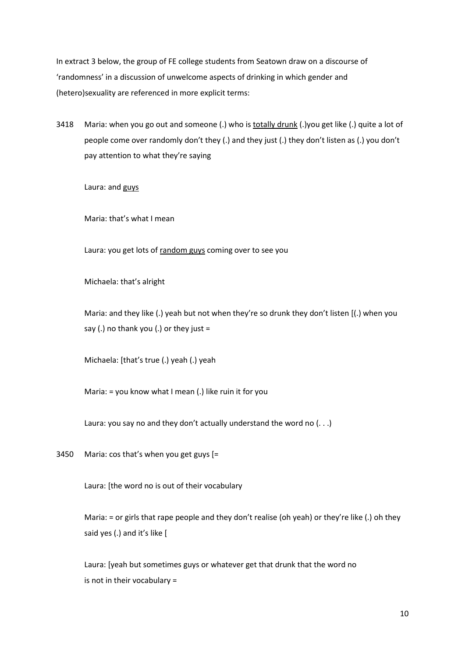In extract 3 below, the group of FE college students from Seatown draw on a discourse of 'randomness' in a discussion of unwelcome aspects of drinking in which gender and (hetero)sexuality are referenced in more explicit terms:

3418 Maria: when you go out and someone (.) who is totally drunk (.)you get like (.) quite a lot of people come over randomly don't they (.) and they just (.) they don't listen as (.) you don't pay attention to what they're saying

Laura: and guys

Maria: that's what I mean

Laura: you get lots of random guys coming over to see you

Michaela: that's alright

Maria: and they like (.) yeah but not when they're so drunk they don't listen [(.) when you say (.) no thank you (.) or they just =

Michaela: [that's true (.) yeah (.) yeah

Maria: = you know what I mean (.) like ruin it for you

Laura: you say no and they don't actually understand the word no (. . .)

3450 Maria: cos that's when you get guys [=

Laura: [the word no is out of their vocabulary

Maria: = or girls that rape people and they don't realise (oh yeah) or they're like (.) oh they said yes (.) and it's like [

Laura: [yeah but sometimes guys or whatever get that drunk that the word no is not in their vocabulary =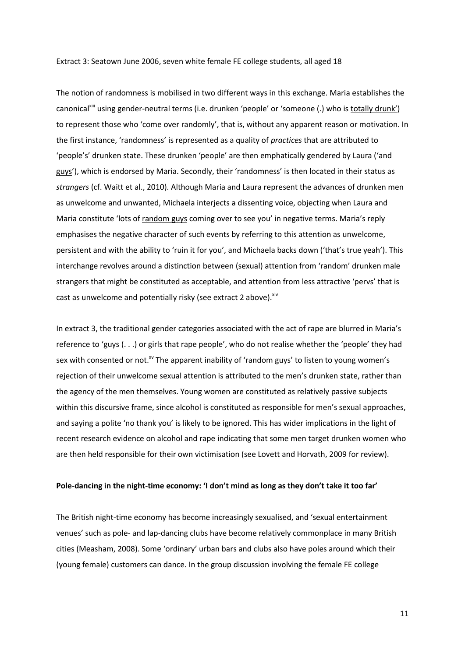Extract 3: Seatown June 2006, seven white female FE college students, all aged 18

The notion of randomness is mobilised in two different ways in this exchange. Maria establishes the canonical<sup>xiii</sup> using gender-neutral terms (i.e. drunken 'people' or 'someone (.) who is totally drunk') to represent those who 'come over randomly', that is, without any apparent reason or motivation. In the first instance, 'randomness' is represented as a quality of *practices* that are attributed to 'people's' drunken state. These drunken 'people' are then emphatically gendered by Laura ('and guys'), which is endorsed by Maria. Secondly, their 'randomness' is then located in their status as *strangers* (cf. Waitt et al., 2010). Although Maria and Laura represent the advances of drunken men as unwelcome and unwanted, Michaela interjects a dissenting voice, objecting when Laura and Maria constitute 'lots of random guys coming over to see you' in negative terms. Maria's reply emphasises the negative character of such events by referring to this attention as unwelcome, persistent and with the ability to 'ruin it for you', and Michaela backs down ('that's true yeah'). This interchange revolves around a distinction between (sexual) attention from 'random' drunken male strangers that might be constituted as acceptable, and attention from less attractive 'pervs' that is cast as unwelcome and potentially risky (see extract 2 above). Xiv

In extract 3, the traditional gender categories associated with the act of rape are blurred in Maria's reference to 'guys (. . .) or girls that rape people', who do not realise whether the 'people' they had sex with consented or not.<sup>xv</sup> The apparent inability of 'random guys' to listen to young women's rejection of their unwelcome sexual attention is attributed to the men's drunken state, rather than the agency of the men themselves. Young women are constituted as relatively passive subjects within this discursive frame, since alcohol is constituted as responsible for men's sexual approaches, and saying a polite 'no thank you' is likely to be ignored. This has wider implications in the light of recent research evidence on alcohol and rape indicating that some men target drunken women who are then held responsible for their own victimisation (see Lovett and Horvath, 2009 for review).

#### **Pole-dancing in the night-time economy: 'I don't mind as long as they don't take it too far'**

The British night-time economy has become increasingly sexualised, and 'sexual entertainment venues' such as pole- and lap-dancing clubs have become relatively commonplace in many British cities (Measham, 2008). Some 'ordinary' urban bars and clubs also have poles around which their (young female) customers can dance. In the group discussion involving the female FE college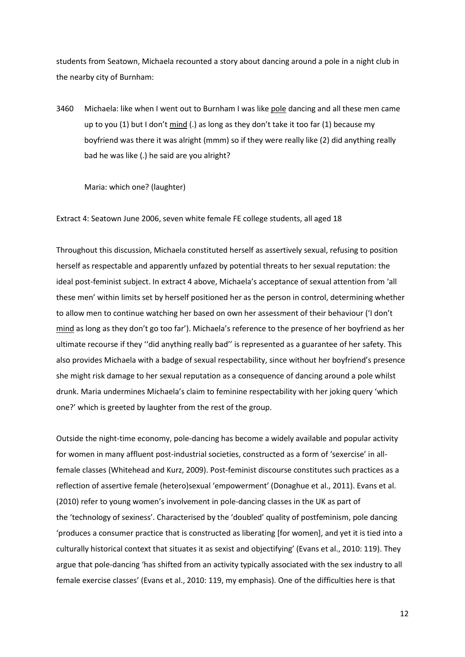students from Seatown, Michaela recounted a story about dancing around a pole in a night club in the nearby city of Burnham:

3460 Michaela: like when I went out to Burnham I was like pole dancing and all these men came up to you (1) but I don't mind (.) as long as they don't take it too far (1) because my boyfriend was there it was alright (mmm) so if they were really like (2) did anything really bad he was like (.) he said are you alright?

Maria: which one? (laughter)

Extract 4: Seatown June 2006, seven white female FE college students, all aged 18

Throughout this discussion, Michaela constituted herself as assertively sexual, refusing to position herself as respectable and apparently unfazed by potential threats to her sexual reputation: the ideal post-feminist subject. In extract 4 above, Michaela's acceptance of sexual attention from 'all these men' within limits set by herself positioned her as the person in control, determining whether to allow men to continue watching her based on own her assessment of their behaviour ('I don't mind as long as they don't go too far'). Michaela's reference to the presence of her boyfriend as her ultimate recourse if they ''did anything really bad'' is represented as a guarantee of her safety. This also provides Michaela with a badge of sexual respectability, since without her boyfriend's presence she might risk damage to her sexual reputation as a consequence of dancing around a pole whilst drunk. Maria undermines Michaela's claim to feminine respectability with her joking query 'which one?' which is greeted by laughter from the rest of the group.

Outside the night-time economy, pole-dancing has become a widely available and popular activity for women in many affluent post-industrial societies, constructed as a form of 'sexercise' in allfemale classes (Whitehead and Kurz, 2009). Post-feminist discourse constitutes such practices as a reflection of assertive female (hetero)sexual 'empowerment' (Donaghue et al., 2011). Evans et al. (2010) refer to young women's involvement in pole-dancing classes in the UK as part of the 'technology of sexiness'. Characterised by the 'doubled' quality of postfeminism, pole dancing 'produces a consumer practice that is constructed as liberating [for women], and yet it is tied into a culturally historical context that situates it as sexist and objectifying' (Evans et al., 2010: 119). They argue that pole-dancing 'has shifted from an activity typically associated with the sex industry to all female exercise classes' (Evans et al., 2010: 119, my emphasis). One of the difficulties here is that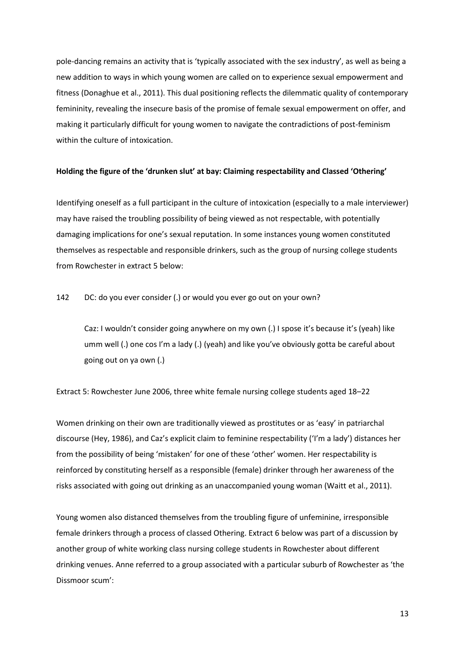pole-dancing remains an activity that is 'typically associated with the sex industry', as well as being a new addition to ways in which young women are called on to experience sexual empowerment and fitness (Donaghue et al., 2011). This dual positioning reflects the dilemmatic quality of contemporary femininity, revealing the insecure basis of the promise of female sexual empowerment on offer, and making it particularly difficult for young women to navigate the contradictions of post-feminism within the culture of intoxication.

#### **Holding the figure of the 'drunken slut' at bay: Claiming respectability and Classed 'Othering'**

Identifying oneself as a full participant in the culture of intoxication (especially to a male interviewer) may have raised the troubling possibility of being viewed as not respectable, with potentially damaging implications for one's sexual reputation. In some instances young women constituted themselves as respectable and responsible drinkers, such as the group of nursing college students from Rowchester in extract 5 below:

142 DC: do you ever consider (.) or would you ever go out on your own?

Caz: I wouldn't consider going anywhere on my own (.) I spose it's because it's (yeah) like umm well (.) one cos I'm a lady (.) (yeah) and like you've obviously gotta be careful about going out on ya own (.)

Extract 5: Rowchester June 2006, three white female nursing college students aged 18–22

Women drinking on their own are traditionally viewed as prostitutes or as 'easy' in patriarchal discourse (Hey, 1986), and Caz's explicit claim to feminine respectability ('I'm a lady') distances her from the possibility of being 'mistaken' for one of these 'other' women. Her respectability is reinforced by constituting herself as a responsible (female) drinker through her awareness of the risks associated with going out drinking as an unaccompanied young woman (Waitt et al., 2011).

Young women also distanced themselves from the troubling figure of unfeminine, irresponsible female drinkers through a process of classed Othering. Extract 6 below was part of a discussion by another group of white working class nursing college students in Rowchester about different drinking venues. Anne referred to a group associated with a particular suburb of Rowchester as 'the Dissmoor scum':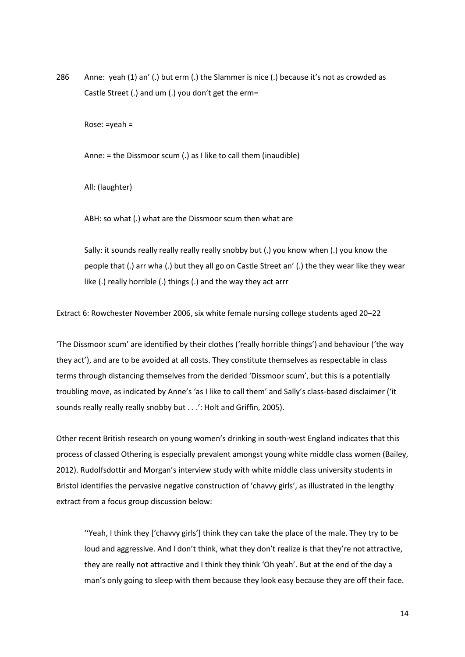286 Anne: yeah (1) an' (.) but erm (.) the Slammer is nice (.) because it's not as crowded as Castle Street (.) and um (.) you don't get the erm=

Rose: =yeah =

Anne: = the Dissmoor scum (.) as I like to call them (inaudible)

All: (laughter)

ABH: so what (.) what are the Dissmoor scum then what are

Sally: it sounds really really really really snobby but (.) you know when (.) you know the people that (.) arr wha (.) but they all go on Castle Street an' (.) the they wear like they wear like (.) really horrible (.) things (.) and the way they act arrr

Extract 6: Rowchester November 2006, six white female nursing college students aged 20–22

'The Dissmoor scum' are identified by their clothes ('really horrible things') and behaviour ('the way they act'), and are to be avoided at all costs. They constitute themselves as respectable in class terms through distancing themselves from the derided 'Dissmoor scum', but this is a potentially troubling move, as indicated by Anne's 'as I like to call them' and Sally's class-based disclaimer ('it sounds really really really snobby but . . .': Holt and Griffin, 2005).

Other recent British research on young women's drinking in south-west England indicates that this process of classed Othering is especially prevalent amongst young white middle class women (Bailey, 2012). Rudolfsdottir and Morgan's interview study with white middle class university students in Bristol identifies the pervasive negative construction of 'chavvy girls', as illustrated in the lengthy extract from a focus group discussion below:

''Yeah, I think they ['chavvy girls'] think they can take the place of the male. They try to be loud and aggressive. And I don't think, what they don't realize is that they're not attractive, they are really not attractive and I think they think 'Oh yeah'. But at the end of the day a man's only going to sleep with them because they look easy because they are off their face.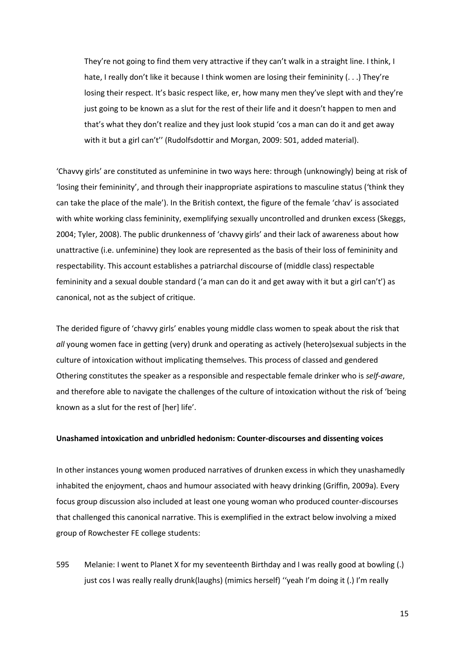They're not going to find them very attractive if they can't walk in a straight line. I think, I hate, I really don't like it because I think women are losing their femininity (...) They're losing their respect. It's basic respect like, er, how many men they've slept with and they're just going to be known as a slut for the rest of their life and it doesn't happen to men and that's what they don't realize and they just look stupid 'cos a man can do it and get away with it but a girl can't'' (Rudolfsdottir and Morgan, 2009: 501, added material).

'Chavvy girls' are constituted as unfeminine in two ways here: through (unknowingly) being at risk of 'losing their femininity', and through their inappropriate aspirations to masculine status ('think they can take the place of the male'). In the British context, the figure of the female 'chav' is associated with white working class femininity, exemplifying sexually uncontrolled and drunken excess (Skeggs, 2004; Tyler, 2008). The public drunkenness of 'chavvy girls' and their lack of awareness about how unattractive (i.e. unfeminine) they look are represented as the basis of their loss of femininity and respectability. This account establishes a patriarchal discourse of (middle class) respectable femininity and a sexual double standard ('a man can do it and get away with it but a girl can't') as canonical, not as the subject of critique.

The derided figure of 'chavvy girls' enables young middle class women to speak about the risk that *all* young women face in getting (very) drunk and operating as actively (hetero)sexual subjects in the culture of intoxication without implicating themselves. This process of classed and gendered Othering constitutes the speaker as a responsible and respectable female drinker who is *self-aware*, and therefore able to navigate the challenges of the culture of intoxication without the risk of 'being known as a slut for the rest of [her] life'.

#### **Unashamed intoxication and unbridled hedonism: Counter-discourses and dissenting voices**

In other instances young women produced narratives of drunken excess in which they unashamedly inhabited the enjoyment, chaos and humour associated with heavy drinking (Griffin, 2009a). Every focus group discussion also included at least one young woman who produced counter-discourses that challenged this canonical narrative. This is exemplified in the extract below involving a mixed group of Rowchester FE college students:

595 Melanie: I went to Planet X for my seventeenth Birthday and I was really good at bowling (.) just cos I was really really drunk(laughs) (mimics herself) ''yeah I'm doing it (.) I'm really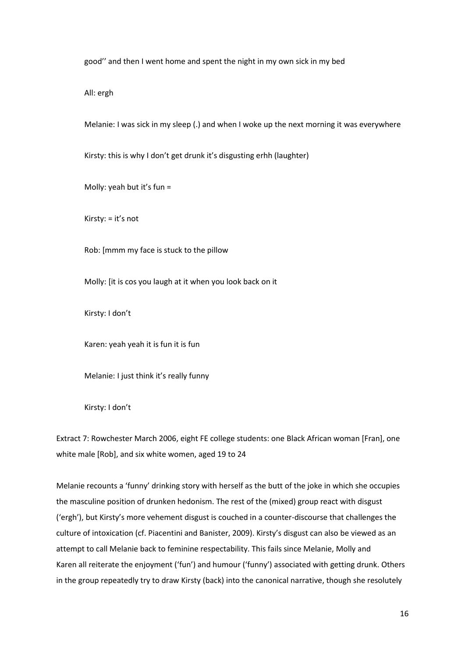good'' and then I went home and spent the night in my own sick in my bed

All: ergh

Melanie: I was sick in my sleep (.) and when I woke up the next morning it was everywhere

Kirsty: this is why I don't get drunk it's disgusting erhh (laughter)

Molly: yeah but it's fun =

Kirsty: = it's not

Rob: [mmm my face is stuck to the pillow

Molly: [it is cos you laugh at it when you look back on it

Kirsty: I don't

Karen: yeah yeah it is fun it is fun

Melanie: I just think it's really funny

Kirsty: I don't

Extract 7: Rowchester March 2006, eight FE college students: one Black African woman [Fran], one white male [Rob], and six white women, aged 19 to 24

Melanie recounts a 'funny' drinking story with herself as the butt of the joke in which she occupies the masculine position of drunken hedonism. The rest of the (mixed) group react with disgust ('ergh'), but Kirsty's more vehement disgust is couched in a counter-discourse that challenges the culture of intoxication (cf. Piacentini and Banister, 2009). Kirsty's disgust can also be viewed as an attempt to call Melanie back to feminine respectability. This fails since Melanie, Molly and Karen all reiterate the enjoyment ('fun') and humour ('funny') associated with getting drunk. Others in the group repeatedly try to draw Kirsty (back) into the canonical narrative, though she resolutely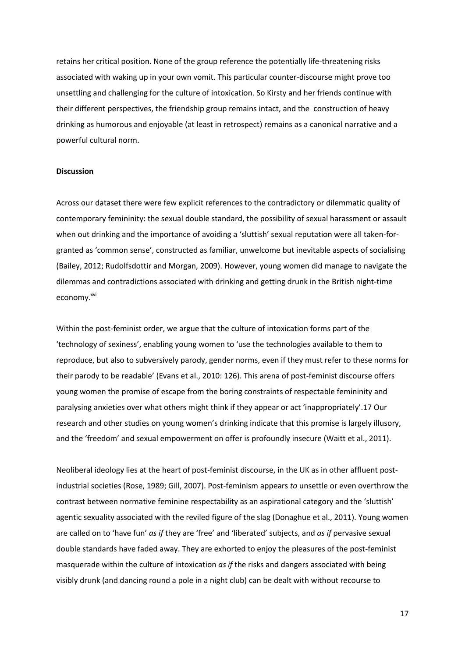retains her critical position. None of the group reference the potentially life-threatening risks associated with waking up in your own vomit. This particular counter-discourse might prove too unsettling and challenging for the culture of intoxication. So Kirsty and her friends continue with their different perspectives, the friendship group remains intact, and the construction of heavy drinking as humorous and enjoyable (at least in retrospect) remains as a canonical narrative and a powerful cultural norm.

#### **Discussion**

Across our dataset there were few explicit references to the contradictory or dilemmatic quality of contemporary femininity: the sexual double standard, the possibility of sexual harassment or assault when out drinking and the importance of avoiding a 'sluttish' sexual reputation were all taken-forgranted as 'common sense', constructed as familiar, unwelcome but inevitable aspects of socialising (Bailey, 2012; Rudolfsdottir and Morgan, 2009). However, young women did manage to navigate the dilemmas and contradictions associated with drinking and getting drunk in the British night-time economy.<sup>xvi</sup>

Within the post-feminist order, we argue that the culture of intoxication forms part of the 'technology of sexiness', enabling young women to 'use the technologies available to them to reproduce, but also to subversively parody, gender norms, even if they must refer to these norms for their parody to be readable' (Evans et al., 2010: 126). This arena of post-feminist discourse offers young women the promise of escape from the boring constraints of respectable femininity and paralysing anxieties over what others might think if they appear or act 'inappropriately'.17 Our research and other studies on young women's drinking indicate that this promise is largely illusory, and the 'freedom' and sexual empowerment on offer is profoundly insecure (Waitt et al., 2011).

Neoliberal ideology lies at the heart of post-feminist discourse, in the UK as in other affluent postindustrial societies (Rose, 1989; Gill, 2007). Post-feminism appears *to* unsettle or even overthrow the contrast between normative feminine respectability as an aspirational category and the 'sluttish' agentic sexuality associated with the reviled figure of the slag (Donaghue et al., 2011). Young women are called on to 'have fun' *as if* they are 'free' and 'liberated' subjects, and *as if* pervasive sexual double standards have faded away. They are exhorted to enjoy the pleasures of the post-feminist masquerade within the culture of intoxication *as if* the risks and dangers associated with being visibly drunk (and dancing round a pole in a night club) can be dealt with without recourse to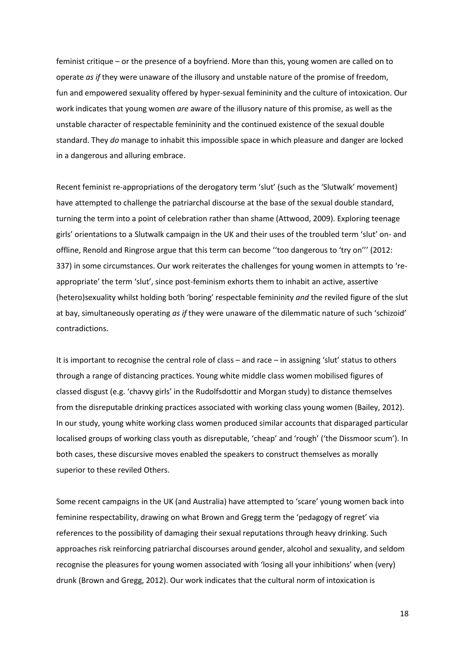feminist critique – or the presence of a boyfriend. More than this, young women are called on to operate *as if* they were unaware of the illusory and unstable nature of the promise of freedom, fun and empowered sexuality offered by hyper-sexual femininity and the culture of intoxication. Our work indicates that young women *are* aware of the illusory nature of this promise, as well as the unstable character of respectable femininity and the continued existence of the sexual double standard. They *do* manage to inhabit this impossible space in which pleasure and danger are locked in a dangerous and alluring embrace.

Recent feminist re-appropriations of the derogatory term 'slut' (such as the 'Slutwalk' movement) have attempted to challenge the patriarchal discourse at the base of the sexual double standard, turning the term into a point of celebration rather than shame (Attwood, 2009). Exploring teenage girls' orientations to a Slutwalk campaign in the UK and their uses of the troubled term 'slut' on- and offline, Renold and Ringrose argue that this term can become ''too dangerous to 'try on''' (2012: 337) in some circumstances. Our work reiterates the challenges for young women in attempts to 'reappropriate' the term 'slut', since post-feminism exhorts them to inhabit an active, assertive (hetero)sexuality whilst holding both 'boring' respectable femininity *and* the reviled figure of the slut at bay, simultaneously operating *as if* they were unaware of the dilemmatic nature of such 'schizoid' contradictions.

It is important to recognise the central role of class – and race – in assigning 'slut' status to others through a range of distancing practices. Young white middle class women mobilised figures of classed disgust (e.g. 'chavvy girls' in the Rudolfsdottir and Morgan study) to distance themselves from the disreputable drinking practices associated with working class young women (Bailey, 2012). In our study, young white working class women produced similar accounts that disparaged particular localised groups of working class youth as disreputable, 'cheap' and 'rough' ('the Dissmoor scum'). In both cases, these discursive moves enabled the speakers to construct themselves as morally superior to these reviled Others.

Some recent campaigns in the UK (and Australia) have attempted to 'scare' young women back into feminine respectability, drawing on what Brown and Gregg term the 'pedagogy of regret' via references to the possibility of damaging their sexual reputations through heavy drinking. Such approaches risk reinforcing patriarchal discourses around gender, alcohol and sexuality, and seldom recognise the pleasures for young women associated with 'losing all your inhibitions' when (very) drunk (Brown and Gregg, 2012). Our work indicates that the cultural norm of intoxication is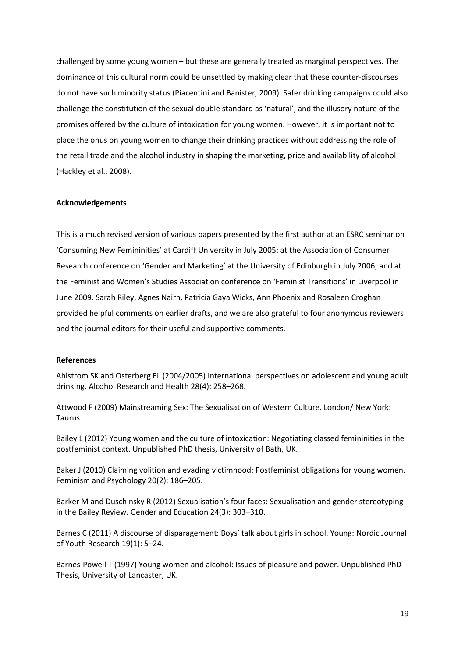challenged by some young women – but these are generally treated as marginal perspectives. The dominance of this cultural norm could be unsettled by making clear that these counter-discourses do not have such minority status (Piacentini and Banister, 2009). Safer drinking campaigns could also challenge the constitution of the sexual double standard as 'natural', and the illusory nature of the promises offered by the culture of intoxication for young women. However, it is important not to place the onus on young women to change their drinking practices without addressing the role of the retail trade and the alcohol industry in shaping the marketing, price and availability of alcohol (Hackley et al., 2008).

#### **Acknowledgements**

This is a much revised version of various papers presented by the first author at an ESRC seminar on 'Consuming New Femininities' at Cardiff University in July 2005; at the Association of Consumer Research conference on 'Gender and Marketing' at the University of Edinburgh in July 2006; and at the Feminist and Women's Studies Association conference on 'Feminist Transitions' in Liverpool in June 2009. Sarah Riley, Agnes Nairn, Patricia Gaya Wicks, Ann Phoenix and Rosaleen Croghan provided helpful comments on earlier drafts, and we are also grateful to four anonymous reviewers and the journal editors for their useful and supportive comments.

#### **References**

Ahlstrom SK and Osterberg EL (2004/2005) International perspectives on adolescent and young adult drinking. Alcohol Research and Health 28(4): 258–268.

Attwood F (2009) Mainstreaming Sex: The Sexualisation of Western Culture. London/ New York: Taurus.

Bailey L (2012) Young women and the culture of intoxication: Negotiating classed femininities in the postfeminist context. Unpublished PhD thesis, University of Bath, UK.

Baker J (2010) Claiming volition and evading victimhood: Postfeminist obligations for young women. Feminism and Psychology 20(2): 186–205.

Barker M and Duschinsky R (2012) Sexualisation's four faces: Sexualisation and gender stereotyping in the Bailey Review. Gender and Education 24(3): 303–310.

Barnes C (2011) A discourse of disparagement: Boys' talk about girls in school. Young: Nordic Journal of Youth Research 19(1): 5–24.

Barnes-Powell T (1997) Young women and alcohol: Issues of pleasure and power. Unpublished PhD Thesis, University of Lancaster, UK.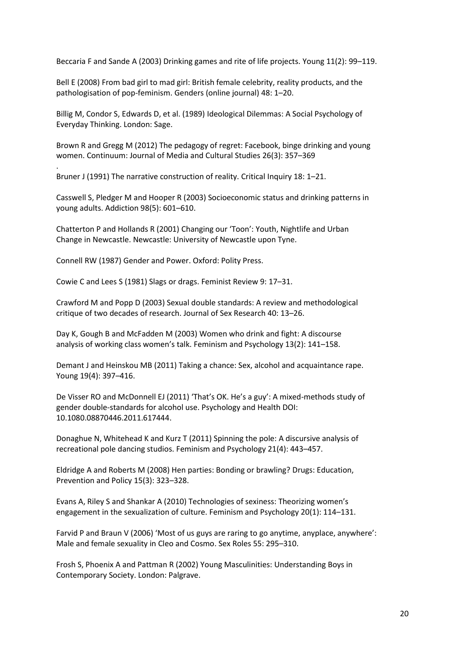Beccaria F and Sande A (2003) Drinking games and rite of life projects. Young 11(2): 99–119.

Bell E (2008) From bad girl to mad girl: British female celebrity, reality products, and the pathologisation of pop-feminism. Genders (online journal) 48: 1–20.

Billig M, Condor S, Edwards D, et al. (1989) Ideological Dilemmas: A Social Psychology of Everyday Thinking. London: Sage.

Brown R and Gregg M (2012) The pedagogy of regret: Facebook, binge drinking and young women. Continuum: Journal of Media and Cultural Studies 26(3): 357–369

Bruner J (1991) The narrative construction of reality. Critical Inquiry 18: 1–21.

Casswell S, Pledger M and Hooper R (2003) Socioeconomic status and drinking patterns in young adults. Addiction 98(5): 601–610.

Chatterton P and Hollands R (2001) Changing our 'Toon': Youth, Nightlife and Urban Change in Newcastle. Newcastle: University of Newcastle upon Tyne.

Connell RW (1987) Gender and Power. Oxford: Polity Press.

.

Cowie C and Lees S (1981) Slags or drags. Feminist Review 9: 17–31.

Crawford M and Popp D (2003) Sexual double standards: A review and methodological critique of two decades of research. Journal of Sex Research 40: 13–26.

Day K, Gough B and McFadden M (2003) Women who drink and fight: A discourse analysis of working class women's talk. Feminism and Psychology 13(2): 141–158.

Demant J and Heinskou MB (2011) Taking a chance: Sex, alcohol and acquaintance rape. Young 19(4): 397–416.

De Visser RO and McDonnell EJ (2011) 'That's OK. He's a guy': A mixed-methods study of gender double-standards for alcohol use. Psychology and Health DOI: 10.1080.08870446.2011.617444.

Donaghue N, Whitehead K and Kurz T (2011) Spinning the pole: A discursive analysis of recreational pole dancing studios. Feminism and Psychology 21(4): 443–457.

Eldridge A and Roberts M (2008) Hen parties: Bonding or brawling? Drugs: Education, Prevention and Policy 15(3): 323–328.

Evans A, Riley S and Shankar A (2010) Technologies of sexiness: Theorizing women's engagement in the sexualization of culture. Feminism and Psychology 20(1): 114–131.

Farvid P and Braun V (2006) 'Most of us guys are raring to go anytime, anyplace, anywhere': Male and female sexuality in Cleo and Cosmo. Sex Roles 55: 295–310.

Frosh S, Phoenix A and Pattman R (2002) Young Masculinities: Understanding Boys in Contemporary Society. London: Palgrave.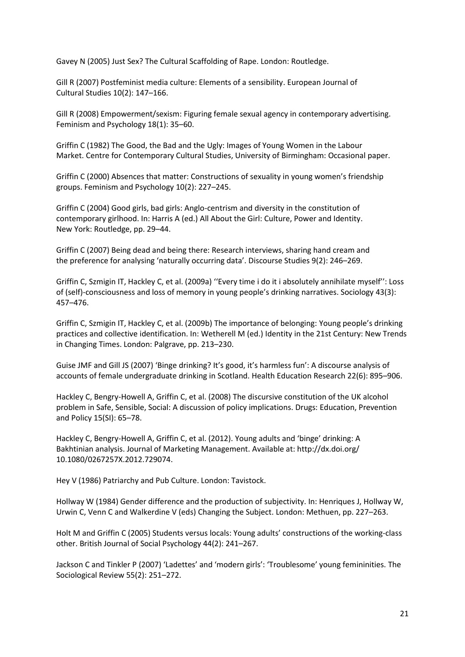Gavey N (2005) Just Sex? The Cultural Scaffolding of Rape. London: Routledge.

Gill R (2007) Postfeminist media culture: Elements of a sensibility. European Journal of Cultural Studies 10(2): 147–166.

Gill R (2008) Empowerment/sexism: Figuring female sexual agency in contemporary advertising. Feminism and Psychology 18(1): 35–60.

Griffin C (1982) The Good, the Bad and the Ugly: Images of Young Women in the Labour Market. Centre for Contemporary Cultural Studies, University of Birmingham: Occasional paper.

Griffin C (2000) Absences that matter: Constructions of sexuality in young women's friendship groups. Feminism and Psychology 10(2): 227–245.

Griffin C (2004) Good girls, bad girls: Anglo-centrism and diversity in the constitution of contemporary girlhood. In: Harris A (ed.) All About the Girl: Culture, Power and Identity. New York: Routledge, pp. 29–44.

Griffin C (2007) Being dead and being there: Research interviews, sharing hand cream and the preference for analysing 'naturally occurring data'. Discourse Studies 9(2): 246–269.

Griffin C, Szmigin IT, Hackley C, et al. (2009a) ''Every time i do it i absolutely annihilate myself'': Loss of (self)-consciousness and loss of memory in young people's drinking narratives. Sociology 43(3): 457–476.

Griffin C, Szmigin IT, Hackley C, et al. (2009b) The importance of belonging: Young people's drinking practices and collective identification. In: Wetherell M (ed.) Identity in the 21st Century: New Trends in Changing Times. London: Palgrave, pp. 213–230.

Guise JMF and Gill JS (2007) 'Binge drinking? It's good, it's harmless fun': A discourse analysis of accounts of female undergraduate drinking in Scotland. Health Education Research 22(6): 895–906.

Hackley C, Bengry-Howell A, Griffin C, et al. (2008) The discursive constitution of the UK alcohol problem in Safe, Sensible, Social: A discussion of policy implications. Drugs: Education, Prevention and Policy 15(SI): 65–78.

Hackley C, Bengry-Howell A, Griffin C, et al. (2012). Young adults and 'binge' drinking: A Bakhtinian analysis. Journal of Marketing Management. Available at: http://dx.doi.org/ 10.1080/0267257X.2012.729074.

Hey V (1986) Patriarchy and Pub Culture. London: Tavistock.

Hollway W (1984) Gender difference and the production of subjectivity. In: Henriques J, Hollway W, Urwin C, Venn C and Walkerdine V (eds) Changing the Subject. London: Methuen, pp. 227–263.

Holt M and Griffin C (2005) Students versus locals: Young adults' constructions of the working-class other. British Journal of Social Psychology 44(2): 241–267.

Jackson C and Tinkler P (2007) 'Ladettes' and 'modern girls': 'Troublesome' young femininities. The Sociological Review 55(2): 251–272.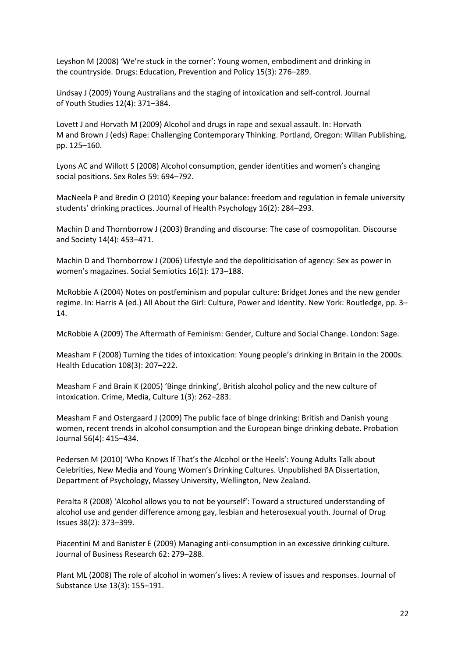Leyshon M (2008) 'We're stuck in the corner': Young women, embodiment and drinking in the countryside. Drugs: Education, Prevention and Policy 15(3): 276–289.

Lindsay J (2009) Young Australians and the staging of intoxication and self-control. Journal of Youth Studies 12(4): 371–384.

Lovett J and Horvath M (2009) Alcohol and drugs in rape and sexual assault. In: Horvath M and Brown J (eds) Rape: Challenging Contemporary Thinking. Portland, Oregon: Willan Publishing, pp. 125–160.

Lyons AC and Willott S (2008) Alcohol consumption, gender identities and women's changing social positions. Sex Roles 59: 694–792.

MacNeela P and Bredin O (2010) Keeping your balance: freedom and regulation in female university students' drinking practices. Journal of Health Psychology 16(2): 284–293.

Machin D and Thornborrow J (2003) Branding and discourse: The case of cosmopolitan. Discourse and Society 14(4): 453–471.

Machin D and Thornborrow J (2006) Lifestyle and the depoliticisation of agency: Sex as power in women's magazines. Social Semiotics 16(1): 173–188.

McRobbie A (2004) Notes on postfeminism and popular culture: Bridget Jones and the new gender regime. In: Harris A (ed.) All About the Girl: Culture, Power and Identity. New York: Routledge, pp. 3– 14.

McRobbie A (2009) The Aftermath of Feminism: Gender, Culture and Social Change. London: Sage.

Measham F (2008) Turning the tides of intoxication: Young people's drinking in Britain in the 2000s. Health Education 108(3): 207–222.

Measham F and Brain K (2005) 'Binge drinking', British alcohol policy and the new culture of intoxication. Crime, Media, Culture 1(3): 262–283.

Measham F and Ostergaard J (2009) The public face of binge drinking: British and Danish young women, recent trends in alcohol consumption and the European binge drinking debate. Probation Journal 56(4): 415–434.

Pedersen M (2010) 'Who Knows If That's the Alcohol or the Heels': Young Adults Talk about Celebrities, New Media and Young Women's Drinking Cultures. Unpublished BA Dissertation, Department of Psychology, Massey University, Wellington, New Zealand.

Peralta R (2008) 'Alcohol allows you to not be yourself': Toward a structured understanding of alcohol use and gender difference among gay, lesbian and heterosexual youth. Journal of Drug Issues 38(2): 373–399.

Piacentini M and Banister E (2009) Managing anti-consumption in an excessive drinking culture. Journal of Business Research 62: 279–288.

Plant ML (2008) The role of alcohol in women's lives: A review of issues and responses. Journal of Substance Use 13(3): 155–191.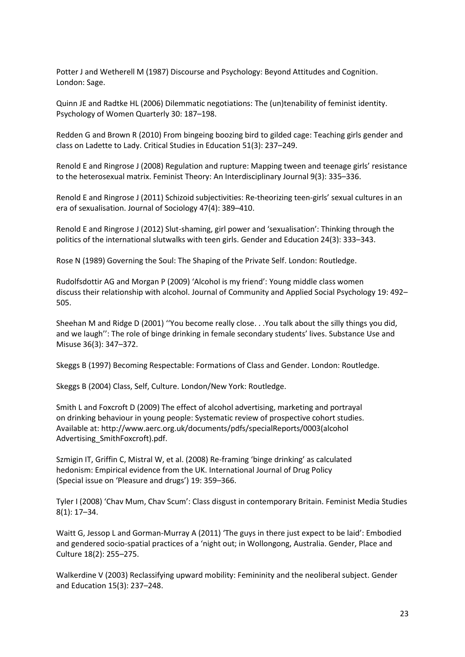Potter J and Wetherell M (1987) Discourse and Psychology: Beyond Attitudes and Cognition. London: Sage.

Quinn JE and Radtke HL (2006) Dilemmatic negotiations: The (un)tenability of feminist identity. Psychology of Women Quarterly 30: 187–198.

Redden G and Brown R (2010) From bingeing boozing bird to gilded cage: Teaching girls gender and class on Ladette to Lady. Critical Studies in Education 51(3): 237–249.

Renold E and Ringrose J (2008) Regulation and rupture: Mapping tween and teenage girls' resistance to the heterosexual matrix. Feminist Theory: An Interdisciplinary Journal 9(3): 335–336.

Renold E and Ringrose J (2011) Schizoid subjectivities: Re-theorizing teen-girls' sexual cultures in an era of sexualisation. Journal of Sociology 47(4): 389–410.

Renold E and Ringrose J (2012) Slut-shaming, girl power and 'sexualisation': Thinking through the politics of the international slutwalks with teen girls. Gender and Education 24(3): 333–343.

Rose N (1989) Governing the Soul: The Shaping of the Private Self. London: Routledge.

Rudolfsdottir AG and Morgan P (2009) 'Alcohol is my friend': Young middle class women discuss their relationship with alcohol. Journal of Community and Applied Social Psychology 19: 492– 505.

Sheehan M and Ridge D (2001) ''You become really close. . .You talk about the silly things you did, and we laugh'': The role of binge drinking in female secondary students' lives. Substance Use and Misuse 36(3): 347–372.

Skeggs B (1997) Becoming Respectable: Formations of Class and Gender. London: Routledge.

Skeggs B (2004) Class, Self, Culture. London/New York: Routledge.

Smith L and Foxcroft D (2009) The effect of alcohol advertising, marketing and portrayal on drinking behaviour in young people: Systematic review of prospective cohort studies. Available at: http://www.aerc.org.uk/documents/pdfs/specialReports/0003(alcohol Advertising\_SmithFoxcroft).pdf.

Szmigin IT, Griffin C, Mistral W, et al. (2008) Re-framing 'binge drinking' as calculated hedonism: Empirical evidence from the UK. International Journal of Drug Policy (Special issue on 'Pleasure and drugs') 19: 359–366.

Tyler I (2008) 'Chav Mum, Chav Scum': Class disgust in contemporary Britain. Feminist Media Studies 8(1): 17–34.

Waitt G, Jessop L and Gorman-Murray A (2011) 'The guys in there just expect to be laid': Embodied and gendered socio-spatial practices of a 'night out; in Wollongong, Australia. Gender, Place and Culture 18(2): 255–275.

Walkerdine V (2003) Reclassifying upward mobility: Femininity and the neoliberal subject. Gender and Education 15(3): 237–248.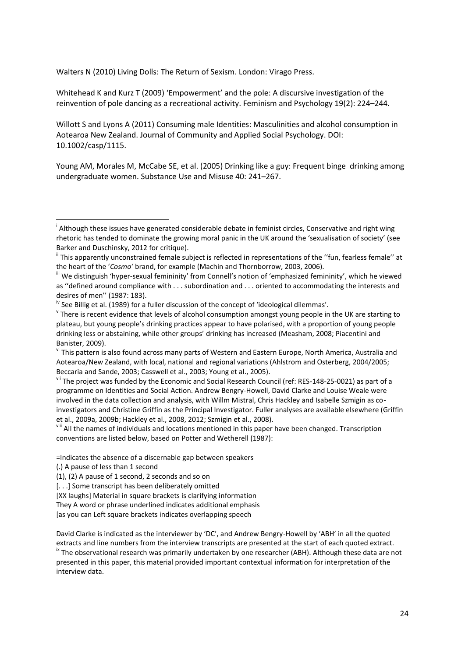Walters N (2010) Living Dolls: The Return of Sexism. London: Virago Press.

Whitehead K and Kurz T (2009) 'Empowerment' and the pole: A discursive investigation of the reinvention of pole dancing as a recreational activity. Feminism and Psychology 19(2): 224–244.

Willott S and Lyons A (2011) Consuming male Identities: Masculinities and alcohol consumption in Aotearoa New Zealand. Journal of Community and Applied Social Psychology. DOI: 10.1002/casp/1115.

Young AM, Morales M, McCabe SE, et al. (2005) Drinking like a guy: Frequent binge drinking among undergraduate women. Substance Use and Misuse 40: 241–267.

vill All the names of individuals and locations mentioned in this paper have been changed. Transcription conventions are listed below, based on Potter and Wetherell (1987):

=Indicates the absence of a discernable gap between speakers

(.) A pause of less than 1 second

 $\overline{a}$ 

[. . .] Some transcript has been deliberately omitted

[XX laughs] Material in square brackets is clarifying information

They A word or phrase underlined indicates additional emphasis

[as you can Left square brackets indicates overlapping speech

David Clarke is indicated as the interviewer by 'DC', and Andrew Bengry-Howell by 'ABH' in all the quoted extracts and line numbers from the interview transcripts are presented at the start of each quoted extract.

<sup>ix</sup> The observational research was primarily undertaken by one researcher (ABH). Although these data are not presented in this paper, this material provided important contextual information for interpretation of the interview data.

<sup>&</sup>lt;sup>i</sup> Although these issues have generated considerable debate in feminist circles, Conservative and right wing rhetoric has tended to dominate the growing moral panic in the UK around the 'sexualisation of society' (see Barker and Duschinsky, 2012 for critique).

ii This apparently unconstrained female subject is reflected in representations of the ''fun, fearless female'' at the heart of the '*Cosmo'* brand, for example (Machin and Thornborrow, 2003, 2006).

<sup>&</sup>quot; We distinguish 'hyper-sexual femininity' from Connell's notion of 'emphasized femininity', which he viewed as ''defined around compliance with . . . subordination and . . . oriented to accommodating the interests and desires of men'' (1987: 183).

<sup>&</sup>lt;sup>iv</sup> See Billig et al. (1989) for a fuller discussion of the concept of 'ideological dilemmas'.

<sup>&</sup>lt;sup>v</sup> There is recent evidence that levels of alcohol consumption amongst young people in the UK are starting to plateau, but young people's drinking practices appear to have polarised, with a proportion of young people drinking less or abstaining, while other groups' drinking has increased (Measham, 2008; Piacentini and Banister, 2009).

v<sup>i</sup> This pattern is also found across many parts of Western and Eastern Europe, North America, Australia and Aotearoa/New Zealand, with local, national and regional variations (Ahlstrom and Osterberg, 2004/2005; Beccaria and Sande, 2003; Casswell et al., 2003; Young et al., 2005).

vii The project was funded by the Economic and Social Research Council (ref: RES-148-25-0021) as part of a programme on Identities and Social Action. Andrew Bengry-Howell, David Clarke and Louise Weale were involved in the data collection and analysis, with Willm Mistral, Chris Hackley and Isabelle Szmigin as coinvestigators and Christine Griffin as the Principal Investigator. Fuller analyses are available elsewhere (Griffin et al., 2009a, 2009b; Hackley et al., 2008, 2012; Szmigin et al., 2008).

<sup>(1), (2)</sup> A pause of 1 second, 2 seconds and so on